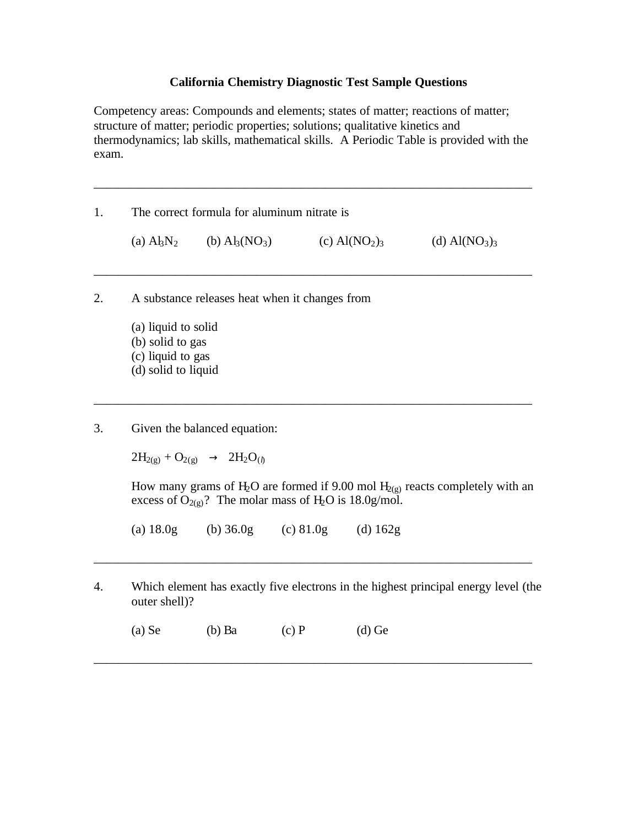## **California Chemistry Diagnostic Test Sample Questions**

Competency areas: Compounds and elements; states of matter; reactions of matter; structure of matter; periodic properties; solutions; qualitative kinetics and thermodynamics; lab skills, mathematical skills. A Periodic Table is provided with the exam.

\_\_\_\_\_\_\_\_\_\_\_\_\_\_\_\_\_\_\_\_\_\_\_\_\_\_\_\_\_\_\_\_\_\_\_\_\_\_\_\_\_\_\_\_\_\_\_\_\_\_\_\_\_\_\_\_\_\_\_\_\_\_\_\_\_\_\_\_\_\_

\_\_\_\_\_\_\_\_\_\_\_\_\_\_\_\_\_\_\_\_\_\_\_\_\_\_\_\_\_\_\_\_\_\_\_\_\_\_\_\_\_\_\_\_\_\_\_\_\_\_\_\_\_\_\_\_\_\_\_\_\_\_\_\_\_\_\_\_\_\_

\_\_\_\_\_\_\_\_\_\_\_\_\_\_\_\_\_\_\_\_\_\_\_\_\_\_\_\_\_\_\_\_\_\_\_\_\_\_\_\_\_\_\_\_\_\_\_\_\_\_\_\_\_\_\_\_\_\_\_\_\_\_\_\_\_\_\_\_\_\_

1. The correct formula for aluminum nitrate is (a)  $A_3N_2$  (b)  $A_3(NO_3)$  (c)  $A(NO_2)_3$  (d)  $A(NO_3)_3$ 

- 2. A substance releases heat when it changes from
	- (a) liquid to solid (b) solid to gas (c) liquid to gas (d) solid to liquid

3. Given the balanced equation:

 $2H_{2(g)} + O_{2(g)} \rightarrow 2H_2O_{(h)}$ 

How many grams of H<sub>2</sub>O are formed if 9.00 mol H<sub>2(g)</sub> reacts completely with an excess of  $O_{2(g)}$ ? The molar mass of H<sub>2</sub>O is 18.0g/mol.

(a)  $18.0g$  (b)  $36.0g$  (c)  $81.0g$  (d)  $162g$ 

4. Which element has exactly five electrons in the highest principal energy level (the outer shell)?

\_\_\_\_\_\_\_\_\_\_\_\_\_\_\_\_\_\_\_\_\_\_\_\_\_\_\_\_\_\_\_\_\_\_\_\_\_\_\_\_\_\_\_\_\_\_\_\_\_\_\_\_\_\_\_\_\_\_\_\_\_\_\_\_\_\_\_\_\_\_

\_\_\_\_\_\_\_\_\_\_\_\_\_\_\_\_\_\_\_\_\_\_\_\_\_\_\_\_\_\_\_\_\_\_\_\_\_\_\_\_\_\_\_\_\_\_\_\_\_\_\_\_\_\_\_\_\_\_\_\_\_\_\_\_\_\_\_\_\_\_

(a) Se (b) Ba (c) P (d) Ge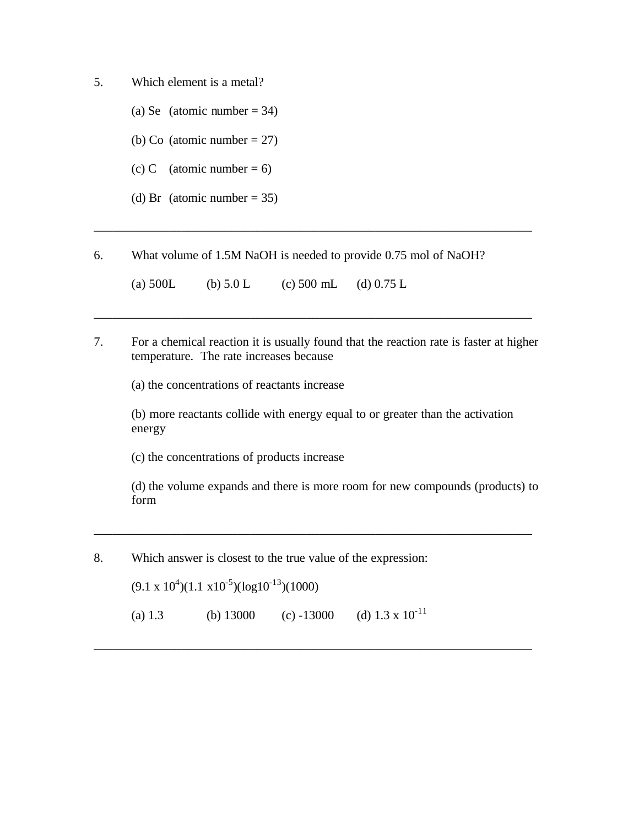- 5. Which element is a metal?
	- (a) Se (atomic number  $= 34$ )
	- (b) Co (atomic number  $= 27$ )
	- (c) C (atomic number = 6)
	- (d) Br (atomic number  $= 35$ )

6. What volume of 1.5M NaOH is needed to provide 0.75 mol of NaOH?

(a)  $500L$  (b)  $5.0 L$  (c)  $500 mL$  (d)  $0.75 L$ 

7. For a chemical reaction it is usually found that the reaction rate is faster at higher temperature. The rate increases because

\_\_\_\_\_\_\_\_\_\_\_\_\_\_\_\_\_\_\_\_\_\_\_\_\_\_\_\_\_\_\_\_\_\_\_\_\_\_\_\_\_\_\_\_\_\_\_\_\_\_\_\_\_\_\_\_\_\_\_\_\_\_\_\_\_\_\_\_\_\_

\_\_\_\_\_\_\_\_\_\_\_\_\_\_\_\_\_\_\_\_\_\_\_\_\_\_\_\_\_\_\_\_\_\_\_\_\_\_\_\_\_\_\_\_\_\_\_\_\_\_\_\_\_\_\_\_\_\_\_\_\_\_\_\_\_\_\_\_\_\_

(a) the concentrations of reactants increase

(b) more reactants collide with energy equal to or greater than the activation energy

(c) the concentrations of products increase

(d) the volume expands and there is more room for new compounds (products) to form

\_\_\_\_\_\_\_\_\_\_\_\_\_\_\_\_\_\_\_\_\_\_\_\_\_\_\_\_\_\_\_\_\_\_\_\_\_\_\_\_\_\_\_\_\_\_\_\_\_\_\_\_\_\_\_\_\_\_\_\_\_\_\_\_\_\_\_\_\_\_

\_\_\_\_\_\_\_\_\_\_\_\_\_\_\_\_\_\_\_\_\_\_\_\_\_\_\_\_\_\_\_\_\_\_\_\_\_\_\_\_\_\_\_\_\_\_\_\_\_\_\_\_\_\_\_\_\_\_\_\_\_\_\_\_\_\_\_\_\_\_

8. Which answer is closest to the true value of the expression:

 $(9.1 \times 10^4)(1.1 \times 10^{-5})(\log 10^{-13})(1000)$ 

(a) 1.3 (b) 13000 (c) -13000 (d)  $1.3 \times 10^{-11}$